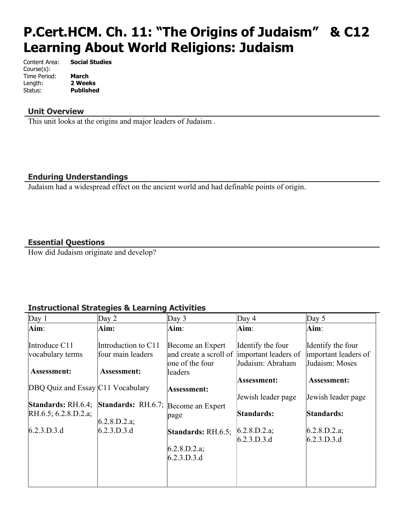# **P.Cert.HCM. Ch. 11: "The Origins of Judaism" & C12 Learning About World Religions: Judaism**

Content Area: **Social Studies** Course(s): Time Period: **March** Length: **2 Weeks** Status: **Published**

### **Unit Overview**

This unit looks at the origins and major leaders of Judaism .

## **Enduring Understandings**

Judaism had a widespread effect on the ancient world and had definable points of origin.

## **Essential Questions**

How did Judaism originate and develop?

# **Instructional Strategies & Learning Activities**

| Day $1$                           | Day $2$                                                | Day $3$                                                       | Day $4$                                                       | Day $5$                                                     |
|-----------------------------------|--------------------------------------------------------|---------------------------------------------------------------|---------------------------------------------------------------|-------------------------------------------------------------|
| Aim:                              | Aim:                                                   | Aim:                                                          | Aim:                                                          | Aim:                                                        |
| Introduce C11<br>vocabulary terms | Introduction to C11<br>four main leaders               | Become an Expert<br>and create a scroll of<br>one of the four | Identify the four<br>important leaders of<br>Judaism: Abraham | Identify the four<br>important leaders of<br>Judaism: Moses |
| <b>Assessment:</b>                | Assessment:                                            | leaders                                                       |                                                               |                                                             |
|                                   |                                                        |                                                               | Assessment:                                                   | <b>Assessment:</b>                                          |
| DBQ Quiz and Essay C11 Vocabulary |                                                        | Assessment:                                                   |                                                               |                                                             |
|                                   |                                                        |                                                               | Jewish leader page                                            | Jewish leader page                                          |
|                                   | Standards: RH.6.4; Standards: RH.6.7; Become an Expert |                                                               |                                                               |                                                             |
| RH.6.5; 6.2.8.D.2.a;              | 6.2.8.D.2.a;                                           | page                                                          | Standards:                                                    | Standards:                                                  |
| 6.2.3.D.3.d                       | 6.2.3.D.3.d                                            | <b>Standards:</b> $RH.6.5$ ;                                  | [6.2.8.D.2.a]                                                 | 6.2.8.D.2.a;                                                |
|                                   |                                                        |                                                               | 6.2.3.D.3.d                                                   | 6.2.3.D.3.d                                                 |
|                                   |                                                        | [6.2.8.D.2.a]                                                 |                                                               |                                                             |
|                                   |                                                        | 6.2.3.D.3.d                                                   |                                                               |                                                             |
|                                   |                                                        |                                                               |                                                               |                                                             |
|                                   |                                                        |                                                               |                                                               |                                                             |
|                                   |                                                        |                                                               |                                                               |                                                             |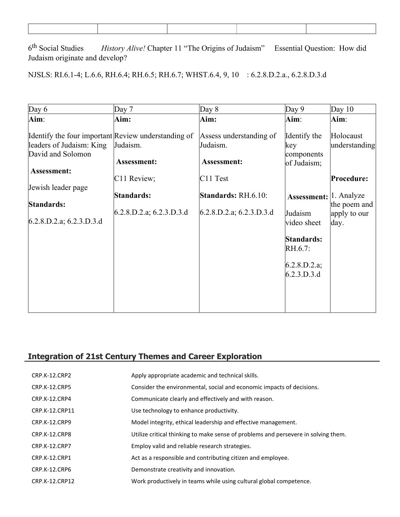6<sup>th</sup> Social Studies History Alive! Chapter 11 "The Origins of Judaism" Essential Question: How did Judaism originate and develop?

NJSLS: RI.6.1-4; L.6.6, RH.6.4; RH.6.5; RH.6.7; WHST.6.4, 9, 10 : 6.2.8.D.2.a., 6.2.8.D.3.d

| Day $6$                                                                                              | Day 7                         | Day $8$                                            | Day $9$                                          | Day $10$                             |
|------------------------------------------------------------------------------------------------------|-------------------------------|----------------------------------------------------|--------------------------------------------------|--------------------------------------|
| Aim:                                                                                                 | Aim:                          | Aim:                                               | $\mathbf{Aim}$ :                                 | Aim:                                 |
| Identify the four important Review understanding of<br>leaders of Judaism: King<br>David and Solomon | Judaism.<br>Assessment:       | Assess understanding of<br>Judaism.<br>Assessment: | Identify the<br>key<br>components<br>of Judaism; | Holocaust<br>understanding           |
| Assessment:                                                                                          |                               |                                                    |                                                  |                                      |
|                                                                                                      | C11 Review;                   | $C11$ Test                                         |                                                  | Procedure:                           |
| Jewish leader page                                                                                   | Standards:                    | <b>Standards: RH.6.10:</b>                         | Assessment:  1. Analyze                          |                                      |
| Standards:<br>$6.2.8$ , D.2.a; 6.2.3. D.3.d                                                          | $6.2.8$ , D.2.a; 6.2.3. D.3.d | $6.2.8$ .D.2.a; 6.2.3.D.3.d                        | Judaism<br>video sheet                           | the poem and<br>apply to our<br>day. |
|                                                                                                      |                               |                                                    | Standards:<br>$RH.6.7$ :                         |                                      |
|                                                                                                      |                               |                                                    | 6.2.8.D.2.a;<br>6.2.3.D.3.d                      |                                      |
|                                                                                                      |                               |                                                    |                                                  |                                      |

# **Integration of 21st Century Themes and Career Exploration**

| <b>CRP.K-12.CRP2</b> | Apply appropriate academic and technical skills.                                   |
|----------------------|------------------------------------------------------------------------------------|
| <b>CRP.K-12.CRP5</b> | Consider the environmental, social and economic impacts of decisions.              |
| CRP.K-12.CRP4        | Communicate clearly and effectively and with reason.                               |
| CRP.K-12.CRP11       | Use technology to enhance productivity.                                            |
| <b>CRP.K-12.CRP9</b> | Model integrity, ethical leadership and effective management.                      |
| CRP.K-12.CRP8        | Utilize critical thinking to make sense of problems and persevere in solving them. |
| <b>CRP.K-12.CRP7</b> | Employ valid and reliable research strategies.                                     |
| <b>CRP.K-12.CRP1</b> | Act as a responsible and contributing citizen and employee.                        |
| CRP.K-12.CRP6        | Demonstrate creativity and innovation.                                             |
| CRP.K-12.CRP12       | Work productively in teams while using cultural global competence.                 |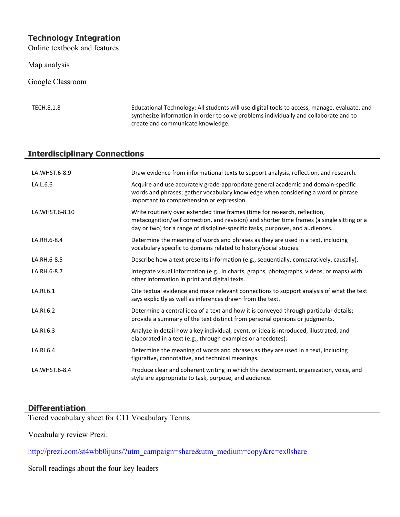## **Technology Integration**

Online textbook and features

Map analysis

Google Classroom

TECH.8.1.8 Educational Technology: All students will use digital tools to access, manage, evaluate, and synthesize information in order to solve problems individually and collaborate and to create and communicate knowledge.

## **Interdisciplinary Connections**

| LA.WHST.6-8.9  | Draw evidence from informational texts to support analysis, reflection, and research.                                                                                                                                                                      |
|----------------|------------------------------------------------------------------------------------------------------------------------------------------------------------------------------------------------------------------------------------------------------------|
| LA.L.6.6       | Acquire and use accurately grade-appropriate general academic and domain-specific<br>words and phrases; gather vocabulary knowledge when considering a word or phrase<br>important to comprehension or expression.                                         |
| LA.WHST.6-8.10 | Write routinely over extended time frames (time for research, reflection,<br>metacognition/self correction, and revision) and shorter time frames (a single sitting or a<br>day or two) for a range of discipline-specific tasks, purposes, and audiences. |
| LA.RH.6-8.4    | Determine the meaning of words and phrases as they are used in a text, including<br>vocabulary specific to domains related to history/social studies.                                                                                                      |
| LA.RH.6-8.5    | Describe how a text presents information (e.g., sequentially, comparatively, causally).                                                                                                                                                                    |
| LA.RH.6-8.7    | Integrate visual information (e.g., in charts, graphs, photographs, videos, or maps) with<br>other information in print and digital texts.                                                                                                                 |
| LA.RI.6.1      | Cite textual evidence and make relevant connections to support analysis of what the text<br>says explicitly as well as inferences drawn from the text.                                                                                                     |
| LA.RI.6.2      | Determine a central idea of a text and how it is conveyed through particular details;<br>provide a summary of the text distinct from personal opinions or judgments.                                                                                       |
| LA.RI.6.3      | Analyze in detail how a key individual, event, or idea is introduced, illustrated, and<br>elaborated in a text (e.g., through examples or anecdotes).                                                                                                      |
| LA.RI.6.4      | Determine the meaning of words and phrases as they are used in a text, including<br>figurative, connotative, and technical meanings.                                                                                                                       |
| LA.WHST.6-8.4  | Produce clear and coherent writing in which the development, organization, voice, and<br>style are appropriate to task, purpose, and audience.                                                                                                             |

# **Differentiation**

Tiered vocabulary sheet for C11 Vocabulary Terms

Vocabulary review Prezi:

[http://prezi.com/st4wbb0ijuns/?utm\\_campaign=share&utm\\_medium=copy&rc=ex0share](http://prezi.com/st4wbb0ijuns/?utm_campaign=share&utm_medium=copy&rc=ex0share)

Scroll readings about the four key leaders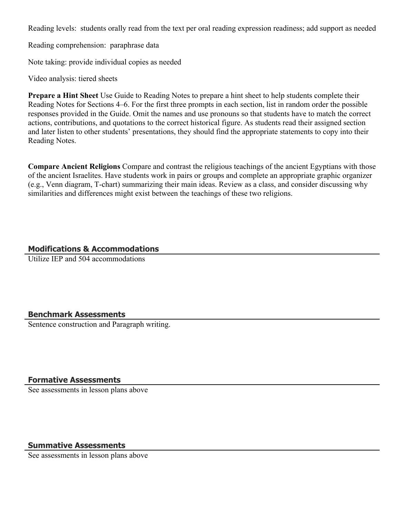Reading levels: students orally read from the text per oral reading expression readiness; add support as needed

Reading comprehension: paraphrase data

Note taking: provide individual copies as needed

Video analysis: tiered sheets

**Prepare a Hint Sheet** Use Guide to Reading Notes to prepare a hint sheet to help students complete their Reading Notes for Sections 4–6. For the first three prompts in each section, list in random order the possible responses provided in the Guide. Omit the names and use pronouns so that students have to match the correct actions, contributions, and quotations to the correct historical figure. As students read their assigned section and later listen to other students' presentations, they should find the appropriate statements to copy into their Reading Notes.

**Compare Ancient Religions** Compare and contrast the religious teachings of the ancient Egyptians with those of the ancient Israelites. Have students work in pairs or groups and complete an appropriate graphic organizer (e.g., Venn diagram, T-chart) summarizing their main ideas. Review as a class, and consider discussing why similarities and differences might exist between the teachings of these two religions.

#### **Modifications & Accommodations**

Utilize IEP and 504 accommodations

#### **Benchmark Assessments**

Sentence construction and Paragraph writing.

#### **Formative Assessments**

See assessments in lesson plans above

#### **Summative Assessments**

See assessments in lesson plans above